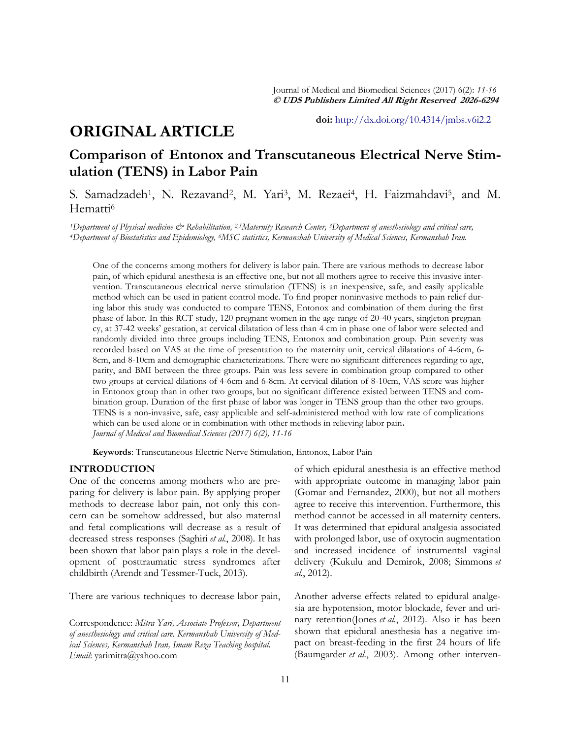**doi:** [http://dx.doi.org/10.4314/jmbs.v6i2.2](http://dx.doi.org/10.4314/jmbs.v2i4.1)

# **ORIGINAL ARTICLE**

# **Comparison of Entonox and Transcutaneous Electrical Nerve Stimulation (TENS) in Labor Pain**

S. Samadzadeh<sup>1</sup>, N. Rezavand<sup>2</sup>, M. Yari<sup>3</sup>, M. Rezaei<sup>4</sup>, H. Faizmahdavi<sup>5</sup>, and M. Hematti<sup>6</sup>

*<sup>1</sup>Department of Physical medicine & Rehabilitation, 2,5Maternity Research Center, 3Department of anesthesiology and critical care, <sup>4</sup>Department of Biostatistics and Epidemiology, 6MSC statistics, Kermanshah University of Medical Sciences, Kermanshah Iran.*

One of the concerns among mothers for delivery is labor pain. There are various methods to decrease labor pain, of which epidural anesthesia is an effective one, but not all mothers agree to receive this invasive intervention. Transcutaneous electrical nerve stimulation (TENS) is an inexpensive, safe, and easily applicable method which can be used in patient control mode. To find proper noninvasive methods to pain relief during labor this study was conducted to compare TENS, Entonox and combination of them during the first phase of labor. In this RCT study, 120 pregnant women in the age range of 20-40 years, singleton pregnancy, at 37-42 weeks' gestation, at cervical dilatation of less than 4 cm in phase one of labor were selected and randomly divided into three groups including TENS, Entonox and combination group. Pain severity was recorded based on VAS at the time of presentation to the maternity unit, cervical dilatations of 4-6cm, 6- 8cm, and 8-10cm and demographic characterizations. There were no significant differences regarding to age, parity, and BMI between the three groups. Pain was less severe in combination group compared to other two groups at cervical dilations of 4-6cm and 6-8cm. At cervical dilation of 8-10cm, VAS score was higher in Entonox group than in other two groups, but no significant difference existed between TENS and combination group. Duration of the first phase of labor was longer in TENS group than the other two groups. TENS is a non-invasive, safe, easy applicable and self-administered method with low rate of complications which can be used alone or in combination with other methods in relieving labor pain**.** *Journal of Medical and Biomedical Sciences (2017) 6(2), 11-16*

**Keywords**: Transcutaneous Electric Nerve Stimulation, Entonox, Labor Pain

### **INTRODUCTION**

One of the concerns among mothers who are preparing for delivery is labor pain. By applying proper methods to decrease labor pain, not only this concern can be somehow addressed, but also maternal and fetal complications will decrease as a result of decreased stress responses [\(Saghiri](#_ENREF_20#_ENREF_20) *et al.*, 2008). It has been shown that labor pain plays a role in the development of posttraumatic stress syndromes after childbirth ([Arendt and Tessmer-Tuck, 2013\)](#_ENREF_2#_ENREF_2).

There are various techniques to decrease labor pain,

Correspondence: *Mitra Yari, Associate Professor, Department of anesthesiology and critical care. Kermanshah University of Medical Sciences, Kermanshah Iran, Imam Reza Teaching hospital. Email*: yarimitra@yahoo.com

of which epidural anesthesia is an effective method with appropriate outcome in managing labor pain ([Gomar and Fernandez, 2000\)](#_ENREF_9#_ENREF_9), but not all mothers agree to receive this intervention. Furthermore, this method cannot be accessed in all maternity centers. It was determined that epidural analgesia associated with prolonged labor, use of oxytocin augmentation and increased incidence of instrumental vaginal delivery ([Kukulu and Demirok, 2008;](#_ENREF_14#_ENREF_14) [Simmons](#_ENREF_21#_ENREF_21) *et al.*[, 2012\).](#_ENREF_21#_ENREF_21)

Another adverse effects related to epidural analgesia are hypotension, motor blockade, fever and urinary retention(Jones *et al.*[, 2012\).](#_ENREF_12#_ENREF_12) Also it has been shown that epidural anesthesia has a negative impact on breast-feeding in the first 24 hours of life ([Baumgarder](#_ENREF_5#_ENREF_5) *et al.*, 2003). Among other interven-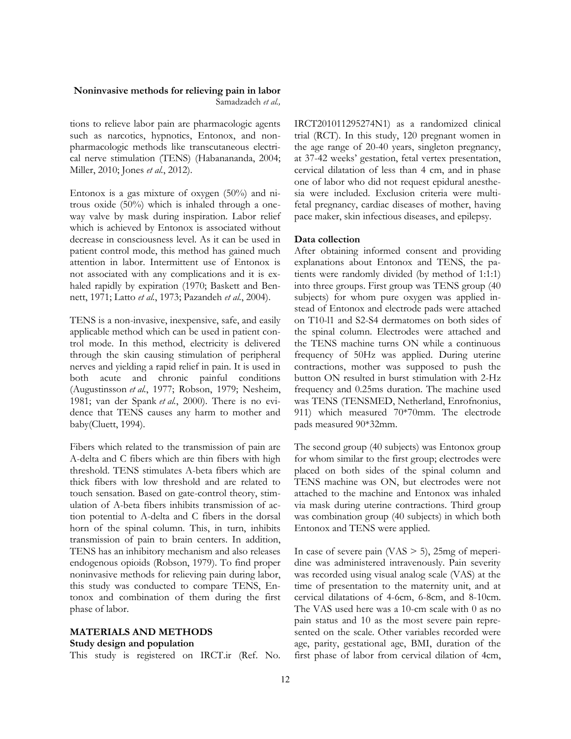#### **Noninvasive methods for relieving pain in labor** Samadzadeh *et al.,*

tions to relieve labor pain are pharmacologic agents such as narcotics, hypnotics, Entonox, and nonpharmacologic methods like transcutaneous electrical nerve stimulation (TENS) [\(Habanananda, 2004;](#_ENREF_10#_ENREF_10)  [Miller, 2010;](#_ENREF_16#_ENREF_16) Jones *et al.*[, 2012\)](#_ENREF_12#_ENREF_12).

Entonox is a gas mixture of oxygen (50%) and nitrous oxide (50%) which is inhaled through a oneway valve by mask during inspiration. Labor relief which is achieved by Entonox is associated without decrease in consciousness level. As it can be used in patient control mode, this method has gained much attention in labor. Intermittent use of Entonox is not associated with any complications and it is exhaled rapidly by expiration ([1970;](#_ENREF_1#_ENREF_1) [Baskett and Ben](#_ENREF_4#_ENREF_4)[nett, 1971;](#_ENREF_4#_ENREF_4) Latto *et al.*[, 1973;](#_ENREF_15#_ENREF_15) [Pazandeh](#_ENREF_18#_ENREF_18) *et al.*, 2004).

TENS is a non-invasive, inexpensive, safe, and easily applicable method which can be used in patient control mode. In this method, electricity is delivered through the skin causing stimulation of peripheral nerves and yielding a rapid relief in pain. It is used in both acute and chronic painful conditions [\(Augustinsson](#_ENREF_3#_ENREF_3) *et al.*, 1977; [Robson, 1979;](#_ENREF_19#_ENREF_19) [Nesheim,](#_ENREF_17#_ENREF_17)  [1981;](#_ENREF_17#_ENREF_17) [van der Spank](#_ENREF_26#_ENREF_26) *et al.*, 2000). There is no evidence that TENS causes any harm to mother and baby[\(Cluett, 1994\)](#_ENREF_8#_ENREF_8).

Fibers which related to the transmission of pain are A-delta and C fibers which are thin fibers with high threshold. TENS stimulates A-beta fibers which are thick fibers with low threshold and are related to touch sensation. Based on gate-control theory, stimulation of A-beta fibers inhibits transmission of action potential to A-delta and C fibers in the dorsal horn of the spinal column. This, in turn, inhibits transmission of pain to brain centers. In addition, TENS has an inhibitory mechanism and also releases endogenous opioids ([Robson, 1979\)](#_ENREF_19#_ENREF_19). To find proper noninvasive methods for relieving pain during labor, this study was conducted to compare TENS, Entonox and combination of them during the first phase of labor.

## **MATERIALS AND METHODS**

### **Study design and population**

This study is registered on IRCT.ir (Ref. No.

IRCT201011295274N1) as a randomized clinical trial (RCT). In this study, 120 pregnant women in the age range of 20-40 years, singleton pregnancy, at 37-42 weeks' gestation, fetal vertex presentation, cervical dilatation of less than 4 cm, and in phase one of labor who did not request epidural anesthesia were included. Exclusion criteria were multifetal pregnancy, cardiac diseases of mother, having pace maker, skin infectious diseases, and epilepsy.

#### **Data collection**

After obtaining informed consent and providing explanations about Entonox and TENS, the patients were randomly divided (by method of 1:1:1) into three groups. First group was TENS group (40 subjects) for whom pure oxygen was applied instead of Entonox and electrode pads were attached on T10-l1 and S2-S4 dermatomes on both sides of the spinal column. Electrodes were attached and the TENS machine turns ON while a continuous frequency of 50Hz was applied. During uterine contractions, mother was supposed to push the button ON resulted in burst stimulation with 2-Hz frequency and 0.25ms duration. The machine used was TENS (TENSMED, Netherland, Enrofnonius, 911) which measured 70\*70mm. The electrode pads measured 90\*32mm.

The second group (40 subjects) was Entonox group for whom similar to the first group; electrodes were placed on both sides of the spinal column and TENS machine was ON, but electrodes were not attached to the machine and Entonox was inhaled via mask during uterine contractions. Third group was combination group (40 subjects) in which both Entonox and TENS were applied.

In case of severe pain  $(NAS > 5)$ , 25mg of meperidine was administered intravenously. Pain severity was recorded using visual analog scale (VAS) at the time of presentation to the maternity unit, and at cervical dilatations of 4-6cm, 6-8cm, and 8-10cm. The VAS used here was a 10-cm scale with 0 as no pain status and 10 as the most severe pain represented on the scale. Other variables recorded were age, parity, gestational age, BMI, duration of the first phase of labor from cervical dilation of 4cm,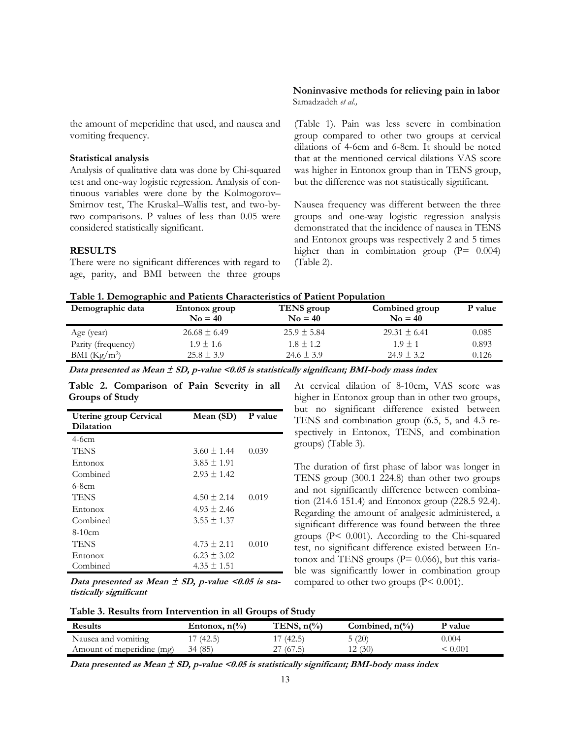the amount of meperidine that used, and nausea and vomiting frequency.

### **Statistical analysis**

Analysis of qualitative data was done by Chi-squared test and one-way logistic regression. Analysis of continuous variables were done by the Kolmogorov– Smirnov test, The Kruskal–Wallis test, and two-bytwo comparisons. P values of less than 0.05 were considered statistically significant.

#### **RESULTS**

There were no significant differences with regard to age, parity, and BMI between the three groups

#### **Noninvasive methods for relieving pain in labor** Samadzadeh *et al.,*

(Table 1). Pain was less severe in combination group compared to other two groups at cervical dilations of 4-6cm and 6-8cm. It should be noted that at the mentioned cervical dilations VAS score was higher in Entonox group than in TENS group, but the difference was not statistically significant.

Nausea frequency was different between the three groups and one-way logistic regression analysis demonstrated that the incidence of nausea in TENS and Entonox groups was respectively 2 and 5 times higher than in combination group  $(P= 0.004)$ (Table 2).

| Demographic data   | Entonox group<br>$No = 40$ | TENS group<br>$No = 40$ | Combined group<br>$No = 40$ | P value |
|--------------------|----------------------------|-------------------------|-----------------------------|---------|
| Age (year)         | $26.68 \pm 6.49$           | $25.9 \pm 5.84$         | $29.31 \pm 6.41$            | 0.085   |
| Parity (frequency) | $1.9 \pm 1.6$              | $1.8 \pm 1.2$           | $1.9 \pm 1$                 | 0.893   |
| BMI $(Kg/m^2)$     | $25.8 \pm 3.9$             | $24.6 \pm 3.9$          | $24.9 \pm 3.2$              | 0.126   |

**Data presented as Mean ± SD, p-value <0.05 is statistically significant; BMI-body mass index**

**Table 2. Comparison of Pain Severity in all Groups of Study**

| <b>Uterine group Cervical</b><br>Dilatation | Mean (SD)       | P value |
|---------------------------------------------|-----------------|---------|
| $4-6cm$                                     |                 |         |
| <b>TENS</b>                                 | $3.60 \pm 1.44$ | 0.039   |
| Entonox                                     | $3.85 \pm 1.91$ |         |
| Combined                                    | $2.93 \pm 1.42$ |         |
| 6-8cm                                       |                 |         |
| TENS                                        | $4.50 \pm 2.14$ | 0.019   |
| Entonox                                     | $4.93 \pm 2.46$ |         |
| Combined                                    | $3.55 \pm 1.37$ |         |
| $8-10cm$                                    |                 |         |
| <b>TENS</b>                                 | $4.73 \pm 2.11$ | 0.010   |
| Entonox                                     | $6.23 \pm 3.02$ |         |
| Combined                                    | $4.35 \pm 1.51$ |         |

Data presented as Mean  $\pm$  SD, p-value <0.05 is sta**tistically significant**

At cervical dilation of 8-10cm, VAS score was higher in Entonox group than in other two groups, but no significant difference existed between TENS and combination group (6.5, 5, and 4.3 respectively in Entonox, TENS, and combination groups) (Table 3).

The duration of first phase of labor was longer in TENS group (300.1 224.8) than other two groups and not significantly difference between combination (214.6 151.4) and Entonox group (228.5 92.4). Regarding the amount of analgesic administered, a significant difference was found between the three groups (P< 0.001). According to the Chi-squared test, no significant difference existed between Entonox and TENS groups ( $P = 0.066$ ), but this variable was significantly lower in combination group compared to other two groups (P< 0.001).

| <b>Results</b>            | Entonox, $n\binom{0}{0}$ | TENS, $n\frac{\gamma}{\delta}$ | Combined, $n\binom{0}{0}$ | <b>P</b> value |
|---------------------------|--------------------------|--------------------------------|---------------------------|----------------|
| Nausea and vomiting       | 17(42.5)                 | (42.5)                         | 5(20)                     | 0.004          |
| Amount of meperidine (mg) | 34 (85)                  | (67.5)<br>∸                    | 2(30)<br>. 4              | $\rm 0.001$    |

Data presented as Mean  $\pm$  SD, p-value <0.05 is statistically significant; BMI-body mass index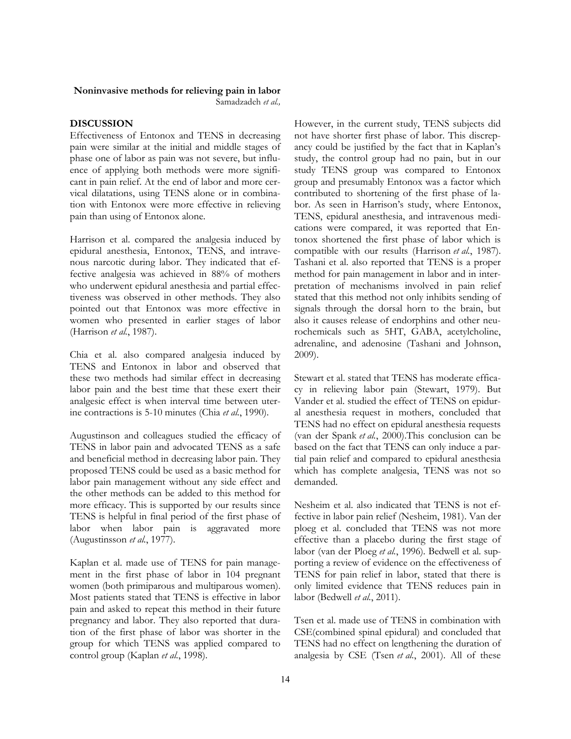#### **Noninvasive methods for relieving pain in labor**

Samadzadeh *et al.,*

### **DISCUSSION**

Effectiveness of Entonox and TENS in decreasing pain were similar at the initial and middle stages of phase one of labor as pain was not severe, but influence of applying both methods were more significant in pain relief. At the end of labor and more cervical dilatations, using TENS alone or in combination with Entonox were more effective in relieving pain than using of Entonox alone.

Harrison et al. compared the analgesia induced by epidural anesthesia, Entonox, TENS, and intravenous narcotic during labor. They indicated that effective analgesia was achieved in 88% of mothers who underwent epidural anesthesia and partial effectiveness was observed in other methods. They also pointed out that Entonox was more effective in women who presented in earlier stages of labor [\(Harrison](#_ENREF_11#_ENREF_11) *et al.*, 1987).

Chia et al. also compared analgesia induced by TENS and Entonox in labor and observed that these two methods had similar effect in decreasing labor pain and the best time that these exert their analgesic effect is when interval time between uterine contractions is 5-10 minutes (Chia *et al.*[, 1990\)](#_ENREF_7#_ENREF_7).

Augustinson and colleagues studied the efficacy of TENS in labor pain and advocated TENS as a safe and beneficial method in decreasing labor pain. They proposed TENS could be used as a basic method for labor pain management without any side effect and the other methods can be added to this method for more efficacy. This is supported by our results since TENS is helpful in final period of the first phase of labor when labor pain is aggravated more [\(Augustinsson](#_ENREF_3#_ENREF_3) *et al.*, 1977).

Kaplan et al. made use of TENS for pain management in the first phase of labor in 104 pregnant women (both primiparous and multiparous women). Most patients stated that TENS is effective in labor pain and asked to repeat this method in their future pregnancy and labor. They also reported that duration of the first phase of labor was shorter in the group for which TENS was applied compared to control group ([Kaplan](#_ENREF_13#_ENREF_13) *et al.*, 1998).

However, in the current study, TENS subjects did not have shorter first phase of labor. This discrepancy could be justified by the fact that in Kaplan's study, the control group had no pain, but in our study TENS group was compared to Entonox group and presumably Entonox was a factor which contributed to shortening of the first phase of labor. As seen in Harrison's study, where Entonox, TENS, epidural anesthesia, and intravenous medications were compared, it was reported that Entonox shortened the first phase of labor which is compatible with our results ([Harrison](#_ENREF_11#_ENREF_11) *et al.*, 1987). Tashani et al. also reported that TENS is a proper method for pain management in labor and in interpretation of mechanisms involved in pain relief stated that this method not only inhibits sending of signals through the dorsal horn to the brain, but also it causes release of endorphins and other neurochemicals such as 5HT, GABA, acetylcholine, adrenaline, and adenosine [\(Tashani and Johnson,](#_ENREF_23#_ENREF_23)  [2009\).](#_ENREF_23#_ENREF_23)

Stewart et al. stated that TENS has moderate efficacy in relieving labor pain ([Stewart, 1979\).](#_ENREF_22#_ENREF_22) But Vander et al. studied the effect of TENS on epidural anesthesia request in mothers, concluded that TENS had no effect on epidural anesthesia requests ([van der Spank](#_ENREF_26#_ENREF_26) *et al.*, 2000).This conclusion can be based on the fact that TENS can only induce a partial pain relief and compared to epidural anesthesia which has complete analgesia, TENS was not so demanded.

Nesheim et al. also indicated that TENS is not effective in labor pain relief ([Nesheim, 1981\)](#_ENREF_17#_ENREF_17). Van der ploeg et al. concluded that TENS was not more effective than a placebo during the first stage of labor [\(van der Ploeg](#_ENREF_25#_ENREF_25) *et al.*, 1996). Bedwell et al. supporting a review of evidence on the effectiveness of TENS for pain relief in labor, stated that there is only limited evidence that TENS reduces pain in labor ([Bedwell](#_ENREF_6#_ENREF_6) *et al.*, 2011).

Tsen et al. made use of TENS in combination with CSE(combined spinal epidural) and concluded that TENS had no effect on lengthening the duration of analgesia by CSE (Tsen *et al.*[, 2001\).](#_ENREF_24#_ENREF_24) All of these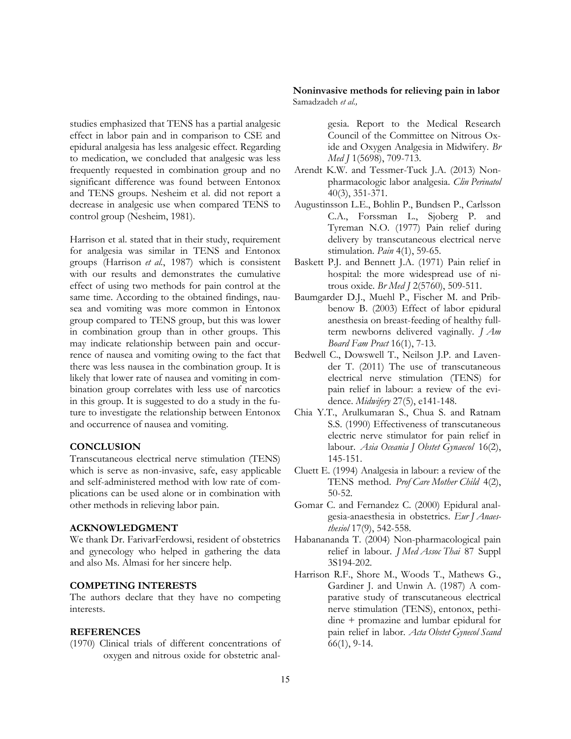studies emphasized that TENS has a partial analgesic effect in labor pain and in comparison to CSE and epidural analgesia has less analgesic effect. Regarding to medication, we concluded that analgesic was less frequently requested in combination group and no significant difference was found between Entonox and TENS groups. Nesheim et al. did not report a decrease in analgesic use when compared TENS to control group ([Nesheim, 1981\).](#_ENREF_17#_ENREF_17)

Harrison et al. stated that in their study, requirement for analgesia was similar in TENS and Entonox groups ([Harrison](#_ENREF_11#_ENREF_11) *et al.*, 1987) which is consistent with our results and demonstrates the cumulative effect of using two methods for pain control at the same time. According to the obtained findings, nausea and vomiting was more common in Entonox group compared to TENS group, but this was lower in combination group than in other groups. This may indicate relationship between pain and occurrence of nausea and vomiting owing to the fact that there was less nausea in the combination group. It is likely that lower rate of nausea and vomiting in combination group correlates with less use of narcotics in this group. It is suggested to do a study in the future to investigate the relationship between Entonox and occurrence of nausea and vomiting.

#### **CONCLUSION**

Transcutaneous electrical nerve stimulation (TENS) which is serve as non-invasive, safe, easy applicable and self-administered method with low rate of complications can be used alone or in combination with other methods in relieving labor pain.

### **ACKNOWLEDGMENT**

We thank Dr. FarivarFerdowsi, resident of obstetrics and gynecology who helped in gathering the data and also Ms. Almasi for her sincere help.

### **COMPETING INTERESTS**

The authors declare that they have no competing interests.

### **REFERENCES**

(1970) Clinical trials of different concentrations of oxygen and nitrous oxide for obstetric anal-

**Noninvasive methods for relieving pain in labor** Samadzadeh *et al.,*

> gesia. Report to the Medical Research Council of the Committee on Nitrous Oxide and Oxygen Analgesia in Midwifery. *Br Med J* 1(5698), 709-713.

- Arendt K.W. and Tessmer-Tuck J.A. (2013) Nonpharmacologic labor analgesia. *Clin Perinatol* 40(3), 351-371.
- Augustinsson L.E., Bohlin P., Bundsen P., Carlsson C.A., Forssman L., Sjoberg P. and Tyreman N.O. (1977) Pain relief during delivery by transcutaneous electrical nerve stimulation. *Pain* 4(1), 59-65.
- Baskett P.J. and Bennett J.A. (1971) Pain relief in hospital: the more widespread use of nitrous oxide. *Br Med J* 2(5760), 509-511.
- Baumgarder D.J., Muehl P., Fischer M. and Pribbenow B. (2003) Effect of labor epidural anesthesia on breast-feeding of healthy fullterm newborns delivered vaginally. *J Am Board Fam Pract* 16(1), 7-13.
- Bedwell C., Dowswell T., Neilson J.P. and Lavender T. (2011) The use of transcutaneous electrical nerve stimulation (TENS) for pain relief in labour: a review of the evidence. *Midwifery* 27(5), e141-148.
- Chia Y.T., Arulkumaran S., Chua S. and Ratnam S.S. (1990) Effectiveness of transcutaneous electric nerve stimulator for pain relief in labour. *Asia Oceania J Obstet Gynaecol* 16(2), 145-151.
- Cluett E. (1994) Analgesia in labour: a review of the TENS method. *Prof Care Mother Child* 4(2), 50-52.
- Gomar C. and Fernandez C. (2000) Epidural analgesia-anaesthesia in obstetrics. *Eur J Anaesthesiol* 17(9), 542-558.
- Habanananda T. (2004) Non-pharmacological pain relief in labour. *J Med Assoc Thai* 87 Suppl 3S194-202.
- Harrison R.F., Shore M., Woods T., Mathews G., Gardiner J. and Unwin A. (1987) A comparative study of transcutaneous electrical nerve stimulation (TENS), entonox, pethidine + promazine and lumbar epidural for pain relief in labor. *Acta Obstet Gynecol Scand* 66(1), 9-14.